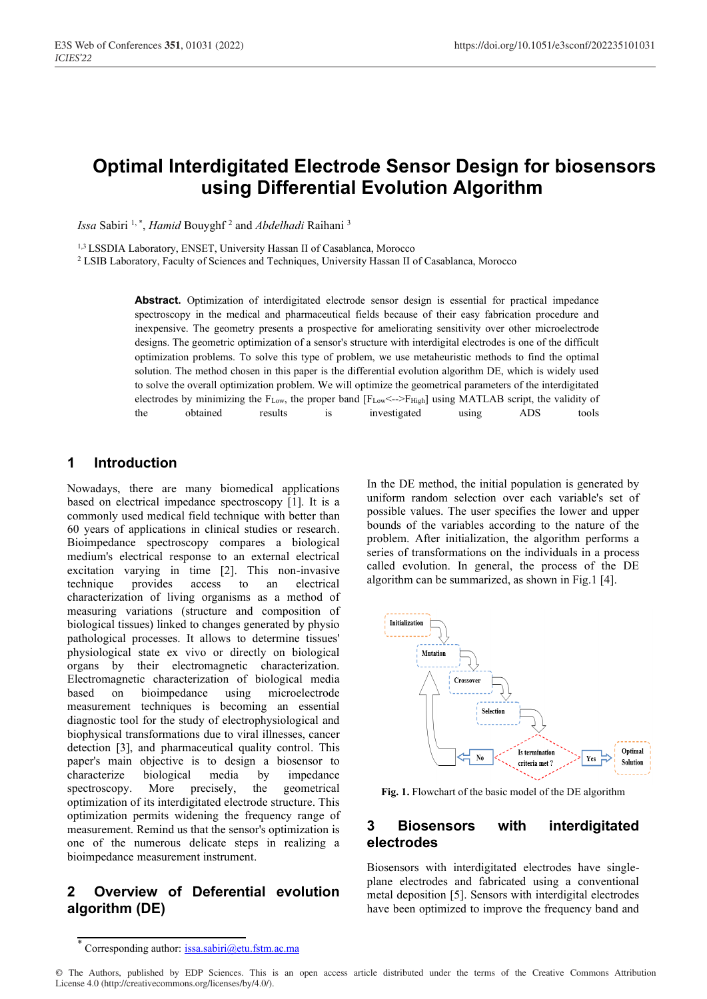# **Optimal Interdigitated Electrode Sensor Design for biosensors using Differential Evolution Algorithm**

*Issa* Sabiri 1, \*, *Hamid* Bouyghf 2 and *Abdelhadi* Raihani 3

1,3 LSSDIA Laboratory, ENSET, University Hassan II of Casablanca, Morocco

<sup>2</sup> LSIB Laboratory, Faculty of Sciences and Techniques, University Hassan II of Casablanca, Morocco

**Abstract.** Optimization of interdigitated electrode sensor design is essential for practical impedance spectroscopy in the medical and pharmaceutical fields because of their easy fabrication procedure and inexpensive. The geometry presents a prospective for ameliorating sensitivity over other microelectrode designs. The geometric optimization of a sensor's structure with interdigital electrodes is one of the difficult optimization problems. To solve this type of problem, we use metaheuristic methods to find the optimal solution. The method chosen in this paper is the differential evolution algorithm DE, which is widely used to solve the overall optimization problem. We will optimize the geometrical parameters of the interdigitated electrodes by minimizing the  $F_{Low}$ , the proper band  $[F_{Low} \leftarrow F_{High}]$  using MATLAB script, the validity of the obtained results is investigated using ADS tools

# **1 Introduction**

Nowadays, there are many biomedical applications based on electrical impedance spectroscopy [1]. It is a commonly used medical field technique with better than 60 years of applications in clinical studies or research. Bioimpedance spectroscopy compares a biological medium's electrical response to an external electrical excitation varying in time [2]. This non-invasive technique provides access to an electrical characterization of living organisms as a method of measuring variations (structure and composition of biological tissues) linked to changes generated by physio pathological processes. It allows to determine tissues' physiological state ex vivo or directly on biological organs by their electromagnetic characterization. Electromagnetic characterization of biological media based on bioimpedance using microelectrode measurement techniques is becoming an essential diagnostic tool for the study of electrophysiological and biophysical transformations due to viral illnesses, cancer detection [3], and pharmaceutical quality control. This paper's main objective is to design a biosensor to characterize biological media by impedance spectroscopy. More precisely, the geometrical optimization of its interdigitated electrode structure. This optimization permits widening the frequency range of measurement. Remind us that the sensor's optimization is one of the numerous delicate steps in realizing a bioimpedance measurement instrument.

# **2 Overview of Deferential evolution algorithm (DE)**

In the DE method, the initial population is generated by uniform random selection over each variable's set of possible values. The user specifies the lower and upper bounds of the variables according to the nature of the problem. After initialization, the algorithm performs a series of transformations on the individuals in a process called evolution. In general, the process of the DE algorithm can be summarized, as shown in Fig.1 [4].



**Fig. 1.** Flowchart of the basic model of the DE algorithm

### **3 Biosensors with interdigitated electrodes**

Biosensors with interdigitated electrodes have singleplane electrodes and fabricated using a conventional metal deposition [5]. Sensors with interdigital electrodes have been optimized to improve the frequency band and

Corresponding author: issa.sabiri@etu.fstm.ac.ma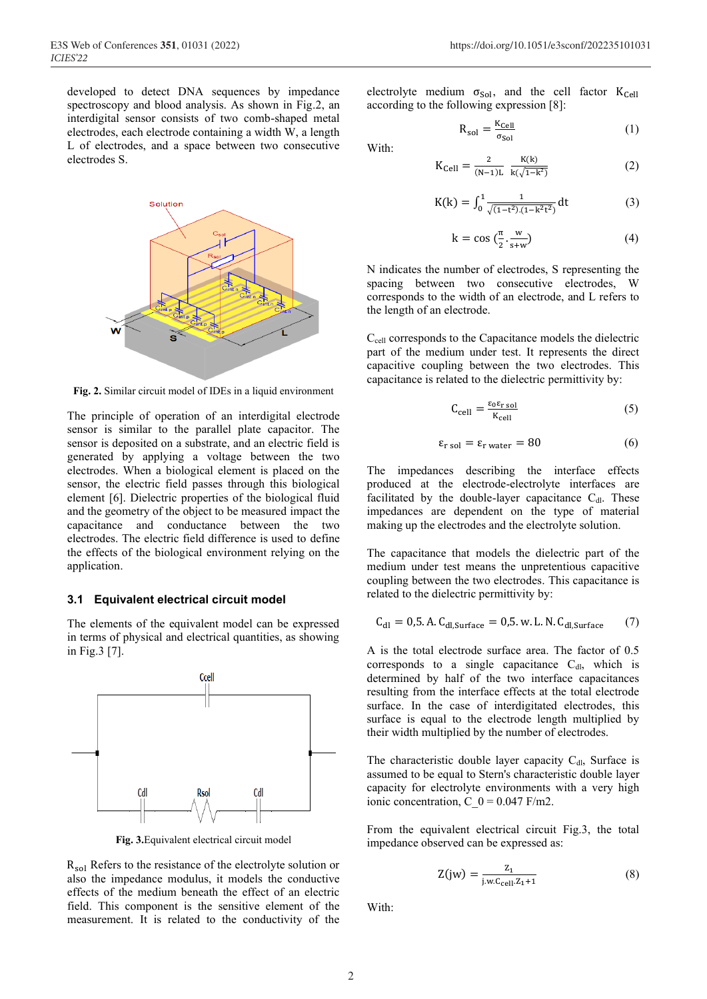developed to detect DNA sequences by impedance spectroscopy and blood analysis. As shown in Fig.2, an interdigital sensor consists of two comb-shaped metal electrodes, each electrode containing a width W, a length L of electrodes, and a space between two consecutive electrodes S.



**Fig. 2.** Similar circuit model of IDEs in a liquid environment

The principle of operation of an interdigital electrode sensor is similar to the parallel plate capacitor. The sensor is deposited on a substrate, and an electric field is generated by applying a voltage between the two electrodes. When a biological element is placed on the sensor, the electric field passes through this biological element [6]. Dielectric properties of the biological fluid and the geometry of the object to be measured impact the capacitance and conductance between the two electrodes. The electric field difference is used to define the effects of the biological environment relying on the application.

#### **3.1 Equivalent electrical circuit model**

The elements of the equivalent model can be expressed in terms of physical and electrical quantities, as showing in Fig.3 [7].



**Fig. 3.**Equivalent electrical circuit model

 $R_{sol}$  Refers to the resistance of the electrolyte solution or also the impedance modulus, it models the conductive effects of the medium beneath the effect of an electric field. This component is the sensitive element of the measurement. It is related to the conductivity of the

electrolyte medium  $\sigma_{Sol}$ , and the cell factor  $K_{Cell}$ according to the following expression [8]:

$$
R_{sol} = \frac{K_{cell}}{\sigma_{Sol}}
$$
 (1)

With:

$$
K_{Cell} = \frac{2}{(N-1)L} \frac{K(k)}{k(\sqrt{1-k^2})}
$$
 (2)

$$
K(k) = \int_0^1 \frac{1}{\sqrt{(1 - t^2)(1 - k^2 t^2)}} dt
$$
 (3)

$$
k = \cos\left(\frac{\pi}{2} \cdot \frac{w}{s+w}\right) \tag{4}
$$

N indicates the number of electrodes, S representing the spacing between two consecutive electrodes, W corresponds to the width of an electrode, and L refers to the length of an electrode.

Ccell corresponds to the Capacitance models the dielectric part of the medium under test. It represents the direct capacitive coupling between the two electrodes. This capacitance is related to the dielectric permittivity by:

$$
C_{cell} = \frac{\varepsilon_0 \varepsilon_{r \, sol}}{K_{cell}} \tag{5}
$$

$$
\varepsilon_{\text{r sol}} = \varepsilon_{\text{r water}} = 80\tag{6}
$$

The impedances describing the interface effects produced at the electrode-electrolyte interfaces are facilitated by the double-layer capacitance  $C_{dl}$ . These impedances are dependent on the type of material making up the electrodes and the electrolyte solution.

The capacitance that models the dielectric part of the medium under test means the unpretentious capacitive coupling between the two electrodes. This capacitance is related to the dielectric permittivity by:

$$
C_{dl} = 0.5. A. C_{dl,Surface} = 0.5. w. L. N. C_{dl,Surface} \qquad (7)
$$

A is the total electrode surface area. The factor of 0.5 corresponds to a single capacitance  $C<sub>dl</sub>$ , which is determined by half of the two interface capacitances resulting from the interface effects at the total electrode surface. In the case of interdigitated electrodes, this surface is equal to the electrode length multiplied by their width multiplied by the number of electrodes.

The characteristic double layer capacity  $C_{dI}$ , Surface is assumed to be equal to Stern's characteristic double layer capacity for electrolyte environments with a very high ionic concentration, C  $0 = 0.047$  F/m2.

From the equivalent electrical circuit Fig.3, the total impedance observed can be expressed as:

$$
Z(jw) = \frac{z_1}{j.w.c_{cell}.z_1 + 1}
$$
 (8)

With: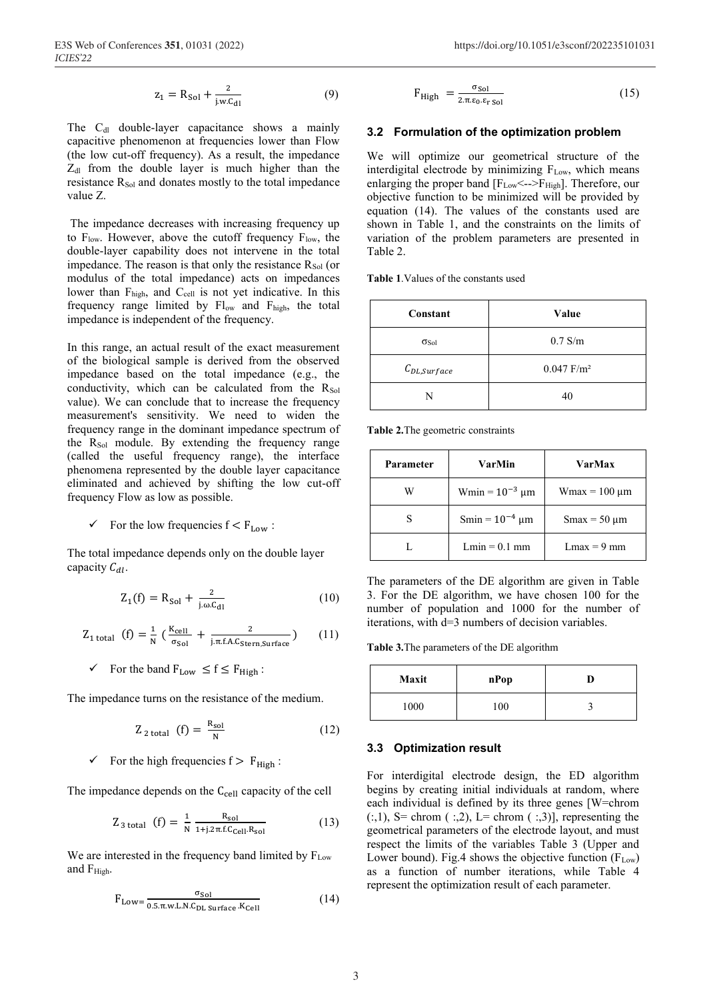The C<sub>dl</sub> double-layer capacitance shows a mainly capacitive phenomenon at frequencies lower than Flow (the low cut-off frequency). As a result, the impedance Z<sub>dl</sub> from the double layer is much higher than the resistance R<sub>Sol</sub> and donates mostly to the total impedance value Z.

The impedance decreases with increasing frequency up to  $F_{low}$ . However, above the cutoff frequency  $F_{low}$ , the double-layer capability does not intervene in the total impedance. The reason is that only the resistance  $R_{Sol}$  (or modulus of the total impedance) acts on impedances lower than F<sub>high</sub>, and C<sub>cell</sub> is not yet indicative. In this frequency range limited by Flow and Fhigh, the total impedance is independent of the frequency.

In this range, an actual result of the exact measurement of the biological sample is derived from the observed impedance based on the total impedance (e.g., the conductivity, which can be calculated from the  $R_{Sol}$ value). We can conclude that to increase the frequency measurement's sensitivity. We need to widen the frequency range in the dominant impedance spectrum of the  $R_{Sol}$  module. By extending the frequency range (called the useful frequency range), the interface phenomena represented by the double layer capacitance eliminated and achieved by shifting the low cut-off frequency Flow as low as possible.

 $\checkmark$  For the low frequencies  $f < F_{Low}$ :

The total impedance depends only on the double layer capacity  $C_{dl}$ .

$$
Z_1(f) = R_{Sol} + \frac{2}{j.\omega.C_{dl}}
$$
 (10)

$$
Z_{1\text{ total}}\text{ (f)} = \frac{1}{N} \left( \frac{K_{\text{cell}}}{\sigma_{\text{Sol}}} + \frac{2}{j.\pi \text{ f.A.C}_{\text{Stern,Surface}}} \right) \qquad (11)
$$

 $\checkmark$  For the band  $F_{Low} \leq f \leq F_{High}$ :

The impedance turns on the resistance of the medium.

$$
Z_{2\text{ total}}\text{ (f)} = \frac{R_{sol}}{N}\tag{12}
$$

 $\checkmark$  For the high frequencies  $f > F_{High}$ :

The impedance depends on the  $C_{cell}$  capacity of the cell

$$
Z_{3 \text{ total}} \text{ (f)} = \frac{1}{N} \frac{R_{sol}}{1 + j.2 \pi f C_{cell} R_{sol}} \tag{13}
$$

We are interested in the frequency band limited by  $F_{Low}$ and F<sub>High</sub>.

$$
F_{\text{Low}} = \frac{\sigma_{\text{Sol}}}{0.5 \cdot \pi \cdot w \cdot \text{LN} \cdot C_{\text{DL} surface} \cdot K_{\text{Cell}}}
$$
(14)

$$
F_{\text{High}} = \frac{\sigma_{\text{Sol}}}{2 \pi \epsilon_0 \epsilon_{\text{r Sol}}}
$$
 (15)

#### **3.2 Formulation of the optimization problem**

We will optimize our geometrical structure of the interdigital electrode by minimizing  $F_{Low}$ , which means enlarging the proper band  $[F_{Low} \leftarrow \rightarrow F_{High}]$ . Therefore, our objective function to be minimized will be provided by equation (14). The values of the constants used are shown in Table 1, and the constraints on the limits of variation of the problem parameters are presented in Table 2.

**Table 1**.Values of the constants used

| Constant         | Value                    |
|------------------|--------------------------|
| $\sigma$ Sol     | $0.7$ S/m                |
| $C_{DL,Surface}$ | $0.047$ F/m <sup>2</sup> |
| N                | 40                       |

**Table 2.**The geometric constraints

| Parameter | VarMin              | VarMax            |
|-----------|---------------------|-------------------|
| W         | Wmin = $10^{-3}$ µm | $W$ max = 100 µm  |
|           | Smin = $10^{-4}$ µm | $Smax = 50 \mu m$ |
|           | $Lmin = 0.1$ mm     | $Lmax = 9$ mm     |

The parameters of the DE algorithm are given in Table 3. For the DE algorithm, we have chosen 100 for the number of population and 1000 for the number of iterations, with d=3 numbers of decision variables.

**Table 3.**The parameters of the DE algorithm

| Maxit | nPop |  |
|-------|------|--|
| 1000  | 100  |  |

#### **3.3 Optimization result**

For interdigital electrode design, the ED algorithm begins by creating initial individuals at random, where each individual is defined by its three genes [W=chrom  $(:,1)$ , S = chrom  $(:,2)$ , L = chrom  $(:,3)$ ], representing the geometrical parameters of the electrode layout, and must respect the limits of the variables Table 3 (Upper and Lower bound). Fig.4 shows the objective function  $(F_{Low})$ as a function of number iterations, while Table 4 represent the optimization result of each parameter.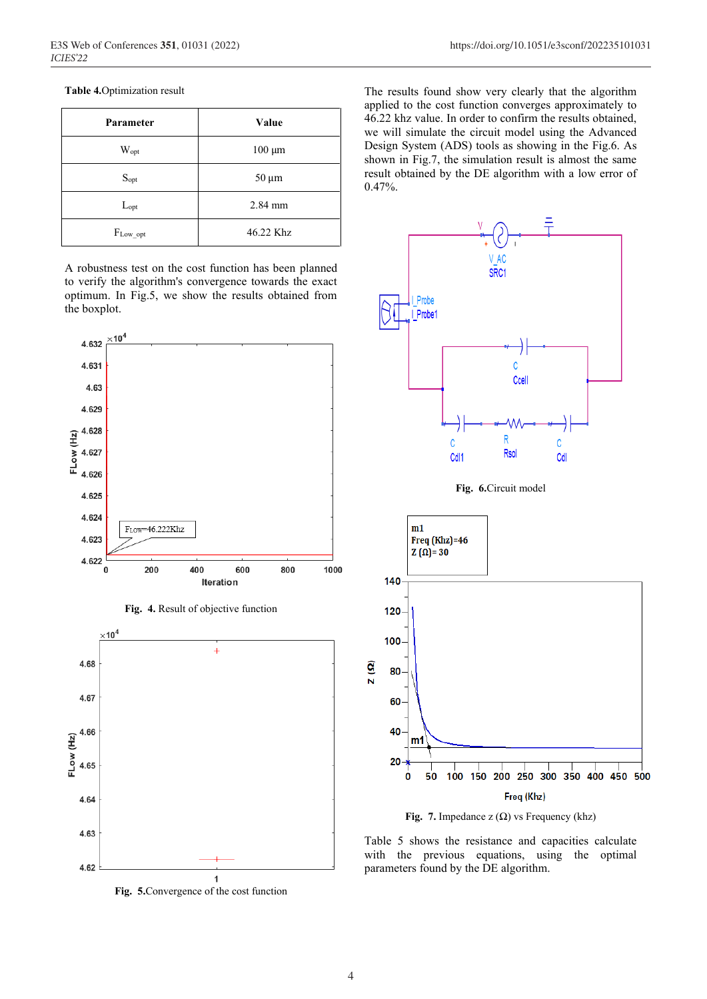### **Table 4.**Optimization result

| Parameter      | Value       |
|----------------|-------------|
| $W_{opt}$      | $100 \mu m$ |
| $S_{opt}$      | $50 \mu m$  |
| $L_{opt}$      | 2.84 mm     |
| $F_{Low\_opt}$ | 46.22 Khz   |

A robustness test on the cost function has been planned to verify the algorithm's convergence towards the exact optimum. In Fig.5, we show the results obtained from the boxplot.









The results found show very clearly that the algorithm applied to the cost function converges approximately to 46.22 khz value. In order to confirm the results obtained, we will simulate the circuit model using the Advanced Design System (ADS) tools as showing in the Fig.6. As shown in Fig.7, the simulation result is almost the same result obtained by the DE algorithm with a low error of 0.47%.



Fig. 7. Impedance  $z(\Omega)$  vs Frequency (khz)

Freq (Khz)

Table 5 shows the resistance and capacities calculate with the previous equations, using the optimal parameters found by the DE algorithm.